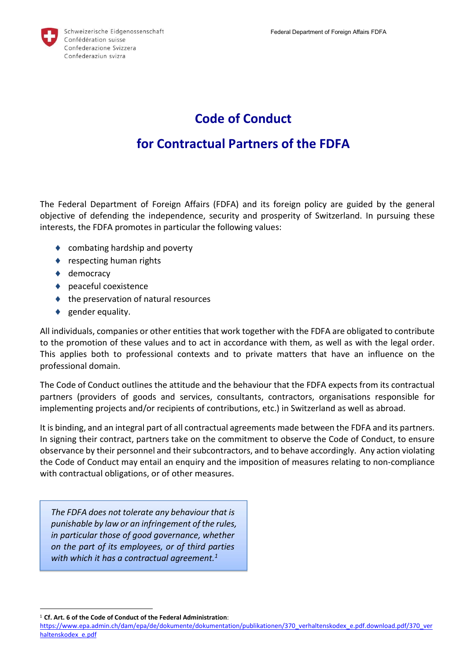

## Code of Conduct

## for Contractual Partners of the FDFA

The Federal Department of Foreign Affairs (FDFA) and its foreign policy are guided by the general objective of defending the independence, security and prosperity of Switzerland. In pursuing these interests, the FDFA promotes in particular the following values:

- ◆ combating hardship and poverty
- ◆ respecting human rights
- ◆ democracy
- ◆ peaceful coexistence
- $\triangle$  the preservation of natural resources
- $\bullet$  gender equality.

All individuals, companies or other entities that work together with the FDFA are obligated to contribute to the promotion of these values and to act in accordance with them, as well as with the legal order. This applies both to professional contexts and to private matters that have an influence on the professional domain.

The Code of Conduct outlines the attitude and the behaviour that the FDFA expects from its contractual partners (providers of goods and services, consultants, contractors, organisations responsible for implementing projects and/or recipients of contributions, etc.) in Switzerland as well as abroad.

It is binding, and an integral part of all contractual agreements made between the FDFA and its partners. In signing their contract, partners take on the commitment to observe the Code of Conduct, to ensure observance by their personnel and their subcontractors, and to behave accordingly. Any action violating the Code of Conduct may entail an enquiry and the imposition of measures relating to non-compliance with contractual obligations, or of other measures.

The FDFA does not tolerate any behaviour that is punishable by law or an infringement of the rules, in particular those of good governance, whether on the part of its employees, or of third parties with which it has a contractual agreement.<sup>1</sup>

-

<sup>1</sup> Cf. Art. 6 of the Code of Conduct of the Federal Administration:

https://www.epa.admin.ch/dam/epa/de/dokumente/dokumentation/publikationen/370\_verhaltenskodex\_e.pdf.download.pdf/370\_ver haltenskodex\_e.pdf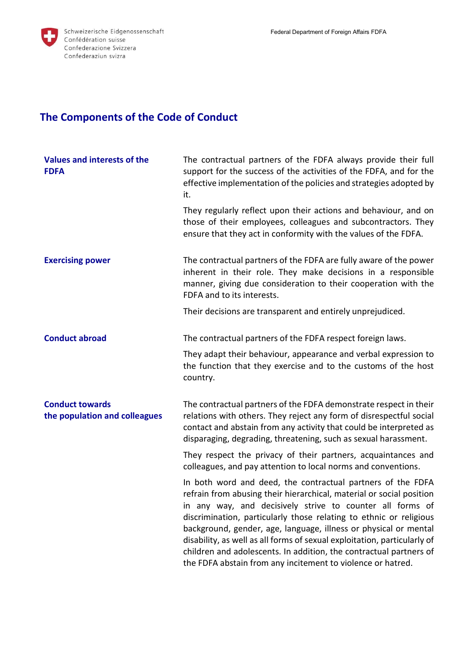

## The Components of the Code of Conduct

| Values and interests of the<br><b>FDFA</b>              | The contractual partners of the FDFA always provide their full<br>support for the success of the activities of the FDFA, and for the<br>effective implementation of the policies and strategies adopted by<br>it.                                                                                                                                                                                                                                                                                                                                           |
|---------------------------------------------------------|-------------------------------------------------------------------------------------------------------------------------------------------------------------------------------------------------------------------------------------------------------------------------------------------------------------------------------------------------------------------------------------------------------------------------------------------------------------------------------------------------------------------------------------------------------------|
|                                                         | They regularly reflect upon their actions and behaviour, and on<br>those of their employees, colleagues and subcontractors. They<br>ensure that they act in conformity with the values of the FDFA.                                                                                                                                                                                                                                                                                                                                                         |
| <b>Exercising power</b>                                 | The contractual partners of the FDFA are fully aware of the power<br>inherent in their role. They make decisions in a responsible<br>manner, giving due consideration to their cooperation with the<br>FDFA and to its interests.                                                                                                                                                                                                                                                                                                                           |
|                                                         | Their decisions are transparent and entirely unprejudiced.                                                                                                                                                                                                                                                                                                                                                                                                                                                                                                  |
| <b>Conduct abroad</b>                                   | The contractual partners of the FDFA respect foreign laws.                                                                                                                                                                                                                                                                                                                                                                                                                                                                                                  |
|                                                         | They adapt their behaviour, appearance and verbal expression to<br>the function that they exercise and to the customs of the host<br>country.                                                                                                                                                                                                                                                                                                                                                                                                               |
| <b>Conduct towards</b><br>the population and colleagues | The contractual partners of the FDFA demonstrate respect in their<br>relations with others. They reject any form of disrespectful social<br>contact and abstain from any activity that could be interpreted as<br>disparaging, degrading, threatening, such as sexual harassment.                                                                                                                                                                                                                                                                           |
|                                                         | They respect the privacy of their partners, acquaintances and<br>colleagues, and pay attention to local norms and conventions.                                                                                                                                                                                                                                                                                                                                                                                                                              |
|                                                         | In both word and deed, the contractual partners of the FDFA<br>refrain from abusing their hierarchical, material or social position<br>in any way, and decisively strive to counter all forms of<br>discrimination, particularly those relating to ethnic or religious<br>background, gender, age, language, illness or physical or mental<br>disability, as well as all forms of sexual exploitation, particularly of<br>children and adolescents. In addition, the contractual partners of<br>the FDFA abstain from any incitement to violence or hatred. |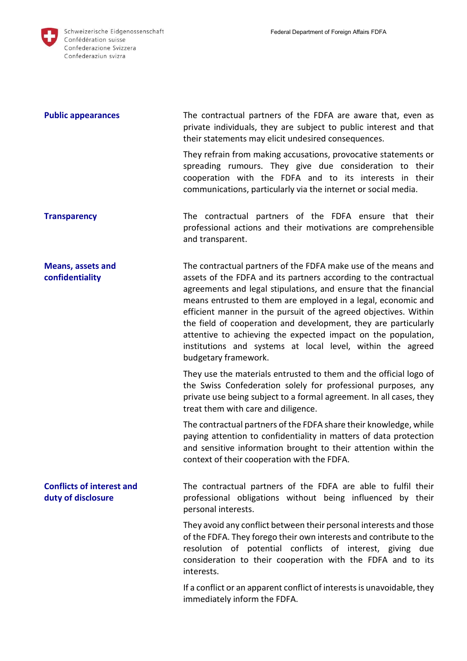| <b>Public appearances</b>                              | The contractual partners of the FDFA are aware that, even as<br>private individuals, they are subject to public interest and that<br>their statements may elicit undesired consequences.                                                                                                                                                                                                                                                                                                                                                                              |
|--------------------------------------------------------|-----------------------------------------------------------------------------------------------------------------------------------------------------------------------------------------------------------------------------------------------------------------------------------------------------------------------------------------------------------------------------------------------------------------------------------------------------------------------------------------------------------------------------------------------------------------------|
|                                                        | They refrain from making accusations, provocative statements or<br>spreading rumours. They give due consideration to their<br>cooperation with the FDFA and to its interests in their<br>communications, particularly via the internet or social media.                                                                                                                                                                                                                                                                                                               |
| <b>Transparency</b>                                    | The contractual partners of the FDFA ensure that their<br>professional actions and their motivations are comprehensible<br>and transparent.                                                                                                                                                                                                                                                                                                                                                                                                                           |
| <b>Means, assets and</b><br>confidentiality            | The contractual partners of the FDFA make use of the means and<br>assets of the FDFA and its partners according to the contractual<br>agreements and legal stipulations, and ensure that the financial<br>means entrusted to them are employed in a legal, economic and<br>efficient manner in the pursuit of the agreed objectives. Within<br>the field of cooperation and development, they are particularly<br>attentive to achieving the expected impact on the population,<br>institutions and systems at local level, within the agreed<br>budgetary framework. |
|                                                        | They use the materials entrusted to them and the official logo of<br>the Swiss Confederation solely for professional purposes, any<br>private use being subject to a formal agreement. In all cases, they<br>treat them with care and diligence.                                                                                                                                                                                                                                                                                                                      |
|                                                        | The contractual partners of the FDFA share their knowledge, while<br>paying attention to confidentiality in matters of data protection<br>and sensitive information brought to their attention within the<br>context of their cooperation with the FDFA.                                                                                                                                                                                                                                                                                                              |
| <b>Conflicts of interest and</b><br>duty of disclosure | The contractual partners of the FDFA are able to fulfil their<br>professional obligations without being influenced by their<br>personal interests.                                                                                                                                                                                                                                                                                                                                                                                                                    |
|                                                        | They avoid any conflict between their personal interests and those<br>of the FDFA. They forego their own interests and contribute to the<br>resolution of potential conflicts of interest, giving due<br>consideration to their cooperation with the FDFA and to its<br>interests.                                                                                                                                                                                                                                                                                    |
|                                                        | If a conflict or an apparent conflict of interests is unavoidable, they<br>immediately inform the FDFA.                                                                                                                                                                                                                                                                                                                                                                                                                                                               |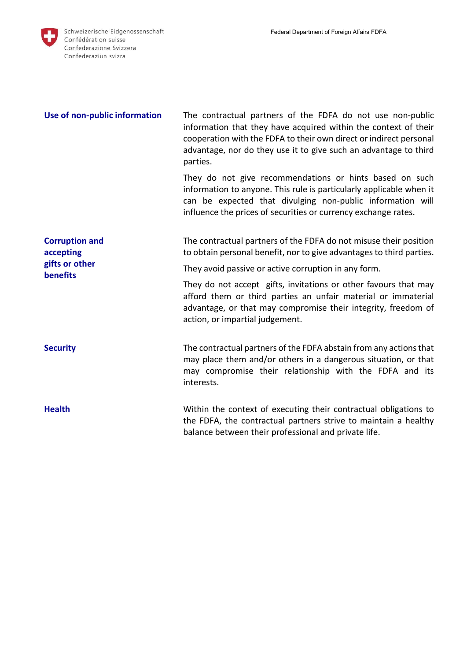

| Use of non-public information                                           | The contractual partners of the FDFA do not use non-public<br>information that they have acquired within the context of their<br>cooperation with the FDFA to their own direct or indirect personal<br>advantage, nor do they use it to give such an advantage to third<br>parties. |
|-------------------------------------------------------------------------|-------------------------------------------------------------------------------------------------------------------------------------------------------------------------------------------------------------------------------------------------------------------------------------|
|                                                                         | They do not give recommendations or hints based on such<br>information to anyone. This rule is particularly applicable when it<br>can be expected that divulging non-public information will<br>influence the prices of securities or currency exchange rates.                      |
| <b>Corruption and</b><br>accepting<br>gifts or other<br><b>benefits</b> | The contractual partners of the FDFA do not misuse their position<br>to obtain personal benefit, nor to give advantages to third parties.                                                                                                                                           |
|                                                                         | They avoid passive or active corruption in any form.                                                                                                                                                                                                                                |
|                                                                         | They do not accept gifts, invitations or other favours that may<br>afford them or third parties an unfair material or immaterial<br>advantage, or that may compromise their integrity, freedom of<br>action, or impartial judgement.                                                |
| <b>Security</b>                                                         | The contractual partners of the FDFA abstain from any actions that<br>may place them and/or others in a dangerous situation, or that<br>may compromise their relationship with the FDFA and its<br>interests.                                                                       |
| <b>Health</b>                                                           | Within the context of executing their contractual obligations to<br>the FDFA, the contractual partners strive to maintain a healthy<br>balance between their professional and private life.                                                                                         |